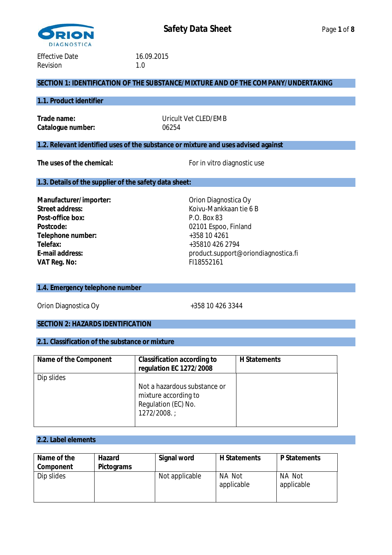

# **SECTION 1: IDENTIFICATION OF THE SUBSTANCE/MIXTURE AND OF THE COMPANY/UNDERTAKING**

#### **1.1. Product identifier**

**Catalogue number:** 06254

**Trade name:** Uricult Vet CLED/EMB

# **1.2. Relevant identified uses of the substance or mixture and uses advised against**

The uses of the chemical: For in vitro diagnostic use

#### **1.3. Details of the supplier of the safety data sheet:**

Manufacturer/importer: Campion Computer of Computer of Computer of Computer of Computer of Computer of Computer Computer of Computer of Computer of Computer Computer of Computer of Computer of Computer of Computer of Compu Street address:  $\overline{\phantom{a}}$  **Street address:**  $\overline{\phantom{a}}$  **Roivu-Mankkaan tie 6 B** Post-office box: P.O. Box 83 Postcode: 02101 Espoo, Finland **Telephone number:** +358 10 4261 **Telefax:** +35810 426 2794 **VAT Reg. No:** FI18552161

**E-mail address:** product.support@oriondiagnostica.fi

# **1.4. Emergency telephone number**

Orion Diagnostica Oy **+358 10 426 3344** 

#### **SECTION 2: HAZARDS IDENTIFICATION**

#### **2.1. Classification of the substance or mixture**

| Name of the Component | Classification according to<br>regulation EC 1272/2008                                      | H Statements |
|-----------------------|---------------------------------------------------------------------------------------------|--------------|
| Dip slides            | Not a hazardous substance or<br>mixture according to<br>Regulation (EC) No.<br>1272/2008. ; |              |

#### **2.2. Label elements**

| Name of the | Hazard     | Signal word    | H Statements         | P Statements         |
|-------------|------------|----------------|----------------------|----------------------|
| Component   | Pictograms |                |                      |                      |
| Dip slides  |            | Not applicable | NA Not<br>applicable | NA Not<br>applicable |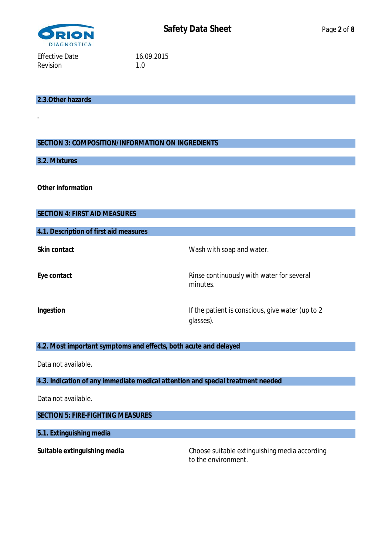

**2.3.Other hazards**

# **SECTION 3: COMPOSITION/INFORMATION ON INGREDIENTS**

# **3.2. Mixtures**

-

**Other information**

| <b>SECTION 4: FIRST AID MEASURES</b>                                            |                                                               |
|---------------------------------------------------------------------------------|---------------------------------------------------------------|
| 4.1. Description of first aid measures                                          |                                                               |
| Skin contact                                                                    | Wash with soap and water.                                     |
| Eye contact                                                                     | Rinse continuously with water for several<br>minutes.         |
| Ingestion                                                                       | If the patient is conscious, give water (up to 2<br>glasses). |
| 4.2. Most important symptoms and effects, both acute and delayed                |                                                               |
| Data not available.                                                             |                                                               |
| 4.3. Indication of any immediate medical attention and special treatment needed |                                                               |
| Data not available.                                                             |                                                               |
| <b>SECTION 5: FIRE-FIGHTING MEASURES</b>                                        |                                                               |
| 5.1. Extinguishing media                                                        |                                                               |
| Suitable extinguishing media                                                    | Choose suitable extinguishing media according                 |

to the environment.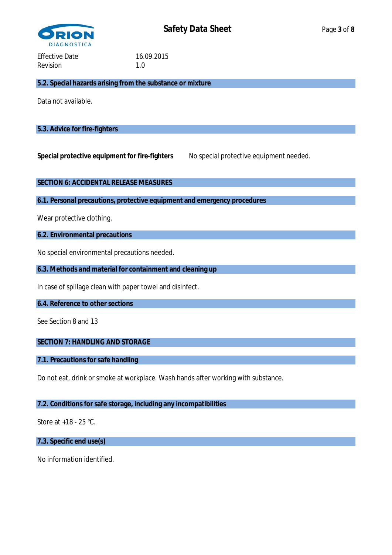

**5.2. Special hazards arising from the substance or mixture**

Data not available.

## **5.3. Advice for fire-fighters**

Special protective equipment for fire-fighters No special protective equipment needed.

**SECTION 6: ACCIDENTAL RELEASE MEASURES**

**6.1. Personal precautions, protective equipment and emergency procedures**

Wear protective clothing.

**6.2. Environmental precautions**

No special environmental precautions needed.

**6.3. Methods and material for containment and cleaning up**

In case of spillage clean with paper towel and disinfect.

**6.4. Reference to other sections**

See Section 8 and 13

**SECTION 7: HANDLING AND STORAGE**

**7.1. Precautions for safe handling**

Do not eat, drink or smoke at workplace. Wash hands after working with substance.

#### **7.2. Conditions for safe storage, including any incompatibilities**

Store at +18 - 25 °C.

**7.3. Specific end use(s)**

No information identified.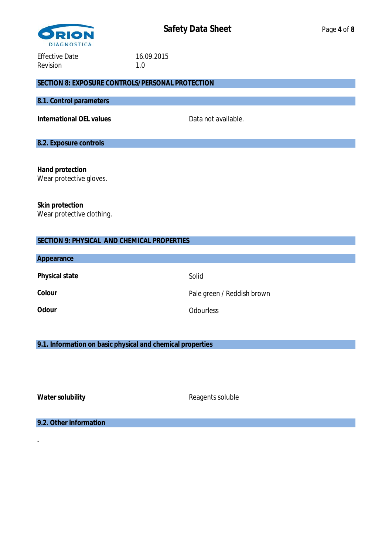

## **SECTION 8: EXPOSURE CONTROLS/PERSONAL PROTECTION**

# **8.1. Control parameters**

International OEL values and available.

# **8.2. Exposure controls**

**Hand protection** Wear protective gloves.

**Skin protection** Wear protective clothing.

# **SECTION 9: PHYSICAL AND CHEMICAL PROPERTIES**

| Appearance     |                            |
|----------------|----------------------------|
| Physical state | Solid                      |
| Colour         | Pale green / Reddish brown |
| Odour          | <b>Odourless</b>           |

**9.1. Information on basic physical and chemical properties**

-

Water solubility **Water solubility** Reagents soluble

**9.2. Other information**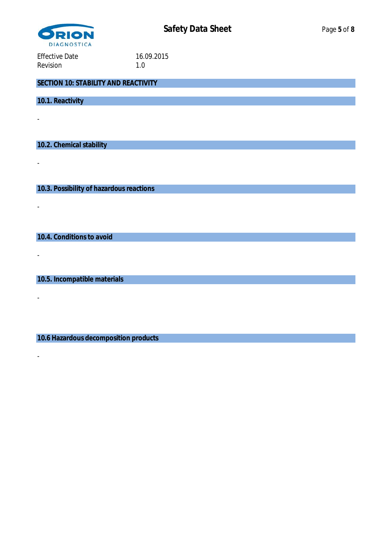

**SECTION 10: STABILITY AND REACTIVITY**

**10.1. Reactivity**

-

-

-

-

-

-

**10.2. Chemical stability**

**10.3. Possibility of hazardous reactions**

**10.4. Conditions to avoid**

**10.5. Incompatible materials**

**10.6 Hazardous decomposition products**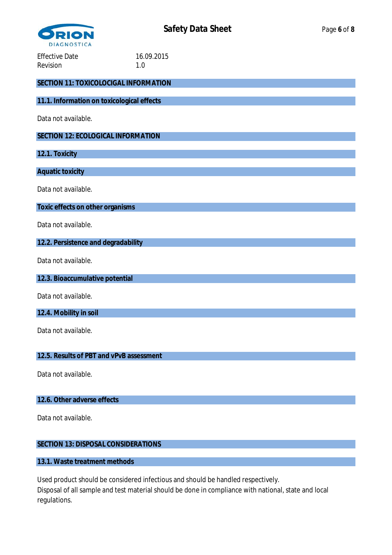

| <b>Effective Date</b><br>Revision          | 16.09.2015<br>1.0 |  |  |
|--------------------------------------------|-------------------|--|--|
| SECTION 11: TOXICOLOCIGAL INFORMATION      |                   |  |  |
| 11.1. Information on toxicological effects |                   |  |  |
| Data not available.                        |                   |  |  |
| SECTION 12: ECOLOGICAL INFORMATION         |                   |  |  |
| 12.1. Toxicity                             |                   |  |  |
| Aquatic toxicity                           |                   |  |  |
| Data not available.                        |                   |  |  |
| Toxic effects on other organisms           |                   |  |  |
| Data not available.                        |                   |  |  |
| 12.2. Persistence and degradability        |                   |  |  |
| Data not available.                        |                   |  |  |
| 12.3. Bioaccumulative potential            |                   |  |  |
| Data not available.                        |                   |  |  |
| 12.4. Mobility in soil                     |                   |  |  |
| Data not available.                        |                   |  |  |
| 12.5. Results of PBT and vPvB assessment   |                   |  |  |

Data not available.

**12.6. Other adverse effects**

Data not available.

# **SECTION 13: DISPOSAL CONSIDERATIONS**

#### **13.1. Waste treatment methods**

Used product should be considered infectious and should be handled respectively. Disposal of all sample and test material should be done in compliance with national, state and local regulations.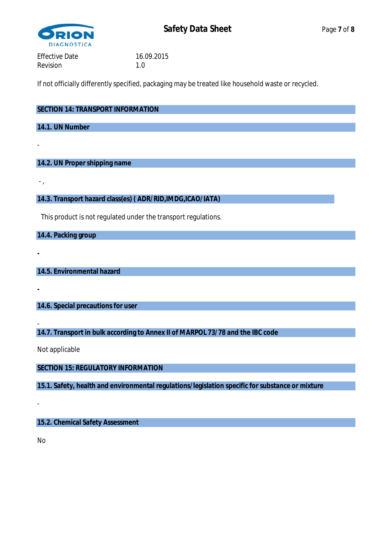

If not officially differently specified, packaging may be treated like household waste or recycled.

| SECTION 14: TRANSPORT INFORMATION |
|-----------------------------------|
|                                   |
| 14.1. UN Number                   |
|                                   |

# **14.2. UN Proper shipping name**

- ,

**-**

**-**

-

**14.3. Transport hazard class(es) ( ADR/RID,IMDG,ICAO/IATA)**

This product is not regulated under the transport regulations.

**14.4. Packing group**

**14.5. Environmental hazard**

**14.6. Special precautions for user**

- **14.7. Transport in bulk according to Annex II of MARPOL 73/78 and the IBC code**

Not applicable

**SECTION 15: REGULATORY INFORMATION**

**15.1. Safety, health and environmental regulations/legislation specific for substance or mixture**

**15.2. Chemical Safety Assessment**

No

-